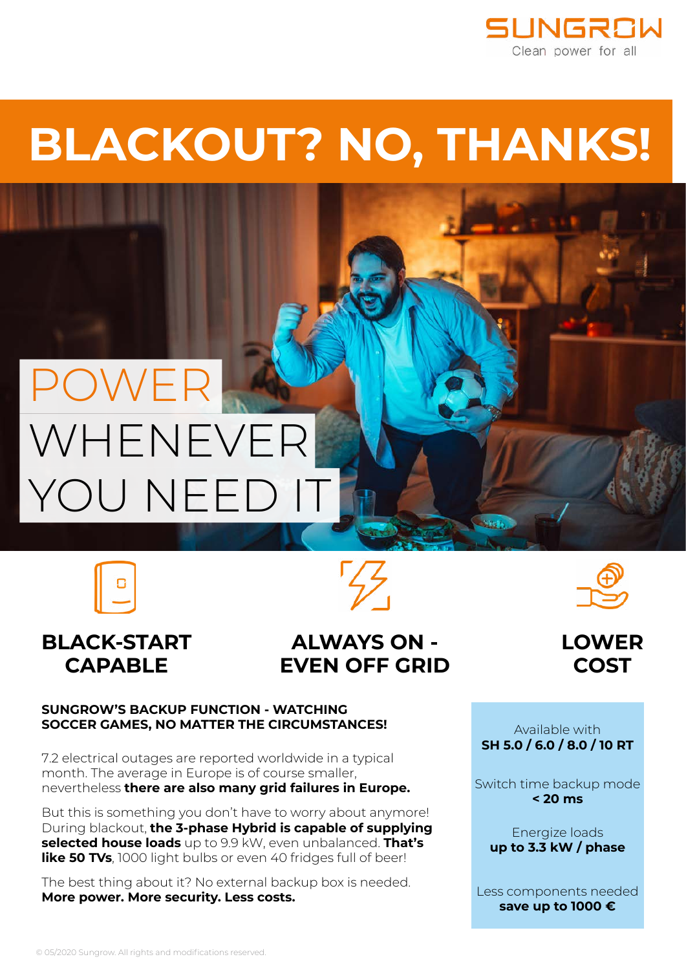

## **BLACKOUT? NO, THANKS!**

## POWER WHENEVER YOU NEED

### **BLACK-START CAPABLE**

## **ALWAYS ON - EVEN OFF GRID**





#### **SUNGROW'S BACKUP FUNCTION - WATCHING SOCCER GAMES, NO MATTER THE CIRCUMSTANCES!**

7.2 electrical outages are reported worldwide in a typical month. The average in Europe is of course smaller, nevertheless **there are also many grid failures in Europe.**

But this is something you don't have to worry about anymore! During blackout, **the 3-phase Hybrid is capable of supplying selected house loads** up to 9.9 kW, even unbalanced. **That's**  like 50 TVs, 1000 light bulbs or even 40 fridges full of beer!

The best thing about it? No external backup box is needed. **More power. More security. Less costs.**

Available with **SH 5.0 / 6.0 / 8.0 / 10 RT**

Switch time backup mode **< 20 ms**

Energize loads **up to 3.3 kW / phase**

Less components needed **save up to 1000 €**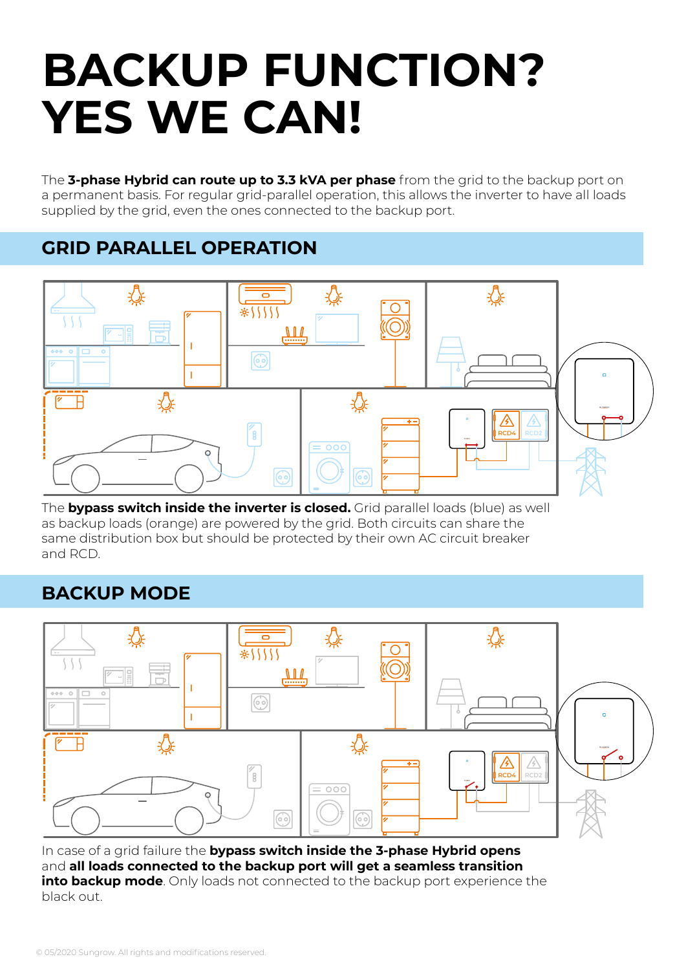## **BACKUP FUNCTION? YES WE CAN!**

The **3-phase Hybrid can route up to 3.3 kVA per phase** from the grid to the backup port on a permanent basis. For regular grid-parallel operation, this allows the inverter to have all loads supplied by the grid, even the ones connected to the backup port.

### **GRID PARALLEL OPERATION**



The **bypass switch inside the inverter is closed.** Grid parallel loads (blue) as well as backup loads (orange) are powered by the grid. Both circuits can share the same distribution box but should be protected by their own AC circuit breaker and RCD.

### **BACKUP MODE**



In case of a grid failure the **bypass switch inside the 3-phase Hybrid opens** and **all loads connected to the backup port will get a seamless transition into backup mode**. Only loads not connected to the backup port experience the black out.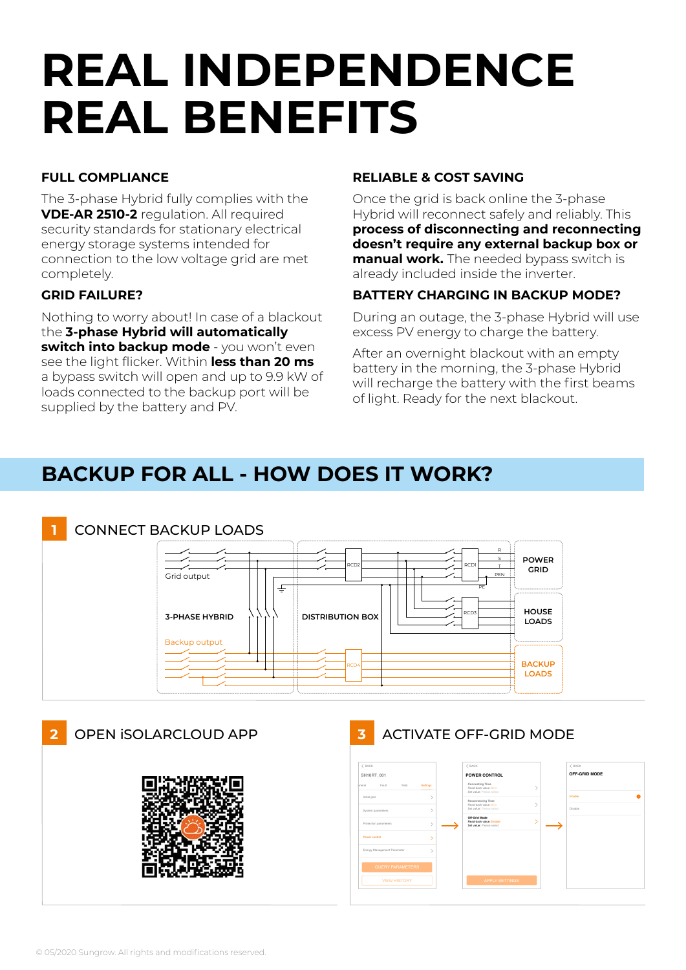## **REAL INDEPENDENCE REAL BENEFITS**

#### **FULL COMPLIANCE**

The 3-phase Hybrid fully complies with the **VDE-AR 2510-2** regulation. All required security standards for stationary electrical energy storage systems intended for connection to the low voltage grid are met completely.

#### **GRID FAILURE?**

Nothing to worry about! In case of a blackout the **3-phase Hybrid will automatically switch into backup mode** - you won't even see the light flicker. Within **less than 20 ms** a bypass switch will open and up to 9.9 kW of loads connected to the backup port will be supplied by the battery and PV.

#### **RELIABLE & COST SAVING**

Once the grid is back online the 3-phase Hybrid will reconnect safely and reliably. This **process of disconnecting and reconnecting doesn't require any external backup box or manual work.** The needed bypass switch is already included inside the inverter.

#### **BATTERY CHARGING IN BACKUP MODE?**

During an outage, the 3-phase Hybrid will use excess PV energy to charge the battery.

After an overnight blackout with an empty battery in the morning, the 3-phase Hybrid will recharge the battery with the first beams of light. Ready for the next blackout.

## **BACKUP FOR ALL - HOW DOES IT WORK?**